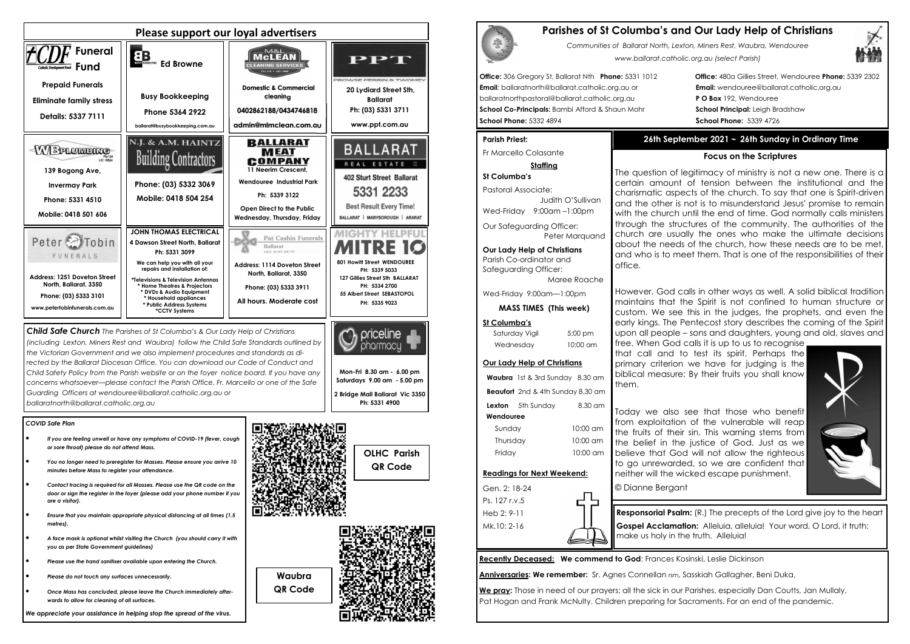# *COVID Safe Plan*

- *If you are feeling unwell or have any symptoms of COVID-19 (fever, cough or sore throat) please do not attend Mass.*
- *You no longer need to preregister for Masses. Please ensure you arrive 10 minutes before Mass to register your attendance.*
- *Contact tracing is required for all Masses. Please use the QR code on the door or sign the register in the foyer (please add your phone number if you are a visitor).*
- *Ensure that you maintain appropriate physical distancing at all times (1.5 metres).*
- *A face mask is optional whilst visiting the Church (you should carry it with you as per State Government guidelines)*
- *Please use the hand sanitiser available upon entering the Church.*
- *Please do not touch any surfaces unnecessarily.*
- *Once Mass has concluded, please leave the Church immediately afterwards to allow for cleaning of all surfaces.*



*We appreciate your assistance in helping stop the spread of the virus.*



*the Victorian Government and we also implement procedures and standards as directed by the Ballarat Diocesan Office. You can download our Code of Conduct and Child Safety Policy from the Parish website or on the foyer notice board. If you have any concerns whatsoever—please contact the Parish Office, Fr. Marcello or one of the Safe Guarding Officers at wendouree@ballarat.catholic.org.au or ballaratnorth@ballarat.catholic.org.au* 

Our Safeguarding Officer: Peter Marauand

Saturday Viail 5:00 pm Wednesday 10:00 am

**Mon-Fri 8.30 am - 6.00 pm Saturdays 9.00 am - 5.00 pm 2 Bridge Mall Ballarat Vic 3350 Ph: 5331 4900** 





**Waubra QR Code** 

# **Parishes of St Columba's and Our Lady Help of Christians**

*Communities of Ballarat North, Lexton, Miners Rest, Waubra, Wendouree www.ballarat.catholic.org.au (select Parish)* 

**Office:** 306 Gregory St, Ballarat Nth **Phone:** 5331 1012 **Office:** 480a Gillies Street, Wendouree **Phone:** 5339 2302

**Email**: ballaratnorth@ballarat.catholic.org.au or **Email:** wendouree@ballarat.catholic.org.au ballaratnorthpastoral@ballarat.catholic.org.au **P O Box** 192, Wendouree **School Co-Principals:** Bambi Afford & Shaun Mohr **School Principal:** Leigh Bradshaw **School Phone:** 5332 4894 **School Phone:** 5339 4726

## **Parish Priest:**

Fr Marcello Colasante

**Staffing** 

**St Columba's** Pastoral Associate: Judith O'SullivanWed-Friday 9:00am –1:00pm

**Our Lady Help of Christians**

Parish Co-ordinator and Safeguarding Officer:

Maree Roache

Wed-Friday 9:00am—1:00pm

**MASS TIMES (This week)**

# **St Columba's**

# **Our Lady Help of Christians**

**Waubra** 1st & 3rd Sunday 8.30 am **Beaufort** 2nd & 4th Sunday 8.30 am **Lexton** 5th Sunday 8.30 am  **Wendouree** Sunday 10:00 am Thursday 10:00 am





Ps. 127 r.v.5 Heb 2: 9-11 Mk.10: 2-16

**Recently Deceased: We commend to God**: Frances Kosinski, Leslie Dickinson

**Anniversaries: We remember:** Sr. Agnes Connellan rsm, Sasskiah Gallagher, Beni Duka,

**We pray:** Those in need of our prayers; all the sick in our Parishes, especially Dan Coutts, Jan Mullaly, Pat Hogan and Frank McNulty. Children preparing for Sacraments. For an end of the pandemic.

# **26th September 2021 ~ 26th Sunday in Ordinary Time**

# **Focus on the Scriptures**

The question of legitimacy of ministry is not a new one. There is a certain amount of tension between the institutional and the charismatic aspects of the church. To say that one is Spirit-driven and the other is not is to misunderstand Jesus' promise to remain with the church until the end of time. God normally calls ministers through the structures of the community. The authorities of the church are usually the ones who make the ultimate decisions about the needs of the church, how these needs are to be met, and who is to meet them. That is one of the responsibilities of their

office.

However, God calls in other ways as well. A solid biblical tradition maintains that the Spirit is not confined to human structure or custom. We see this in the judges, the prophets, and even the early kings. The Pentecost story describes the coming of the Spirit upon all people – sons and daughters, young and old, slaves and

free. When God calls it is up to us to recognise that call and to test its spirit. Perhaps the primary criterion we have for judging is the biblical measure: By their fruits you shall know

them.

Today we also see that those who benefit from exploitation of the vulnerable will reap the fruits of their sin. This warning stems from the belief in the justice of God. Just as we believe that God will not allow the righteous to go unrewarded, so we are confident that neither will the wicked escape punishment.



© Dianne Bergant

**Responsorial Psalm:** (R.) The precepts of the Lord give joy to the heart **Gospel Acclamation:** Alleluia, alleluia! Your word, O Lord, it truth: make us holy in the truth. Alleluia!